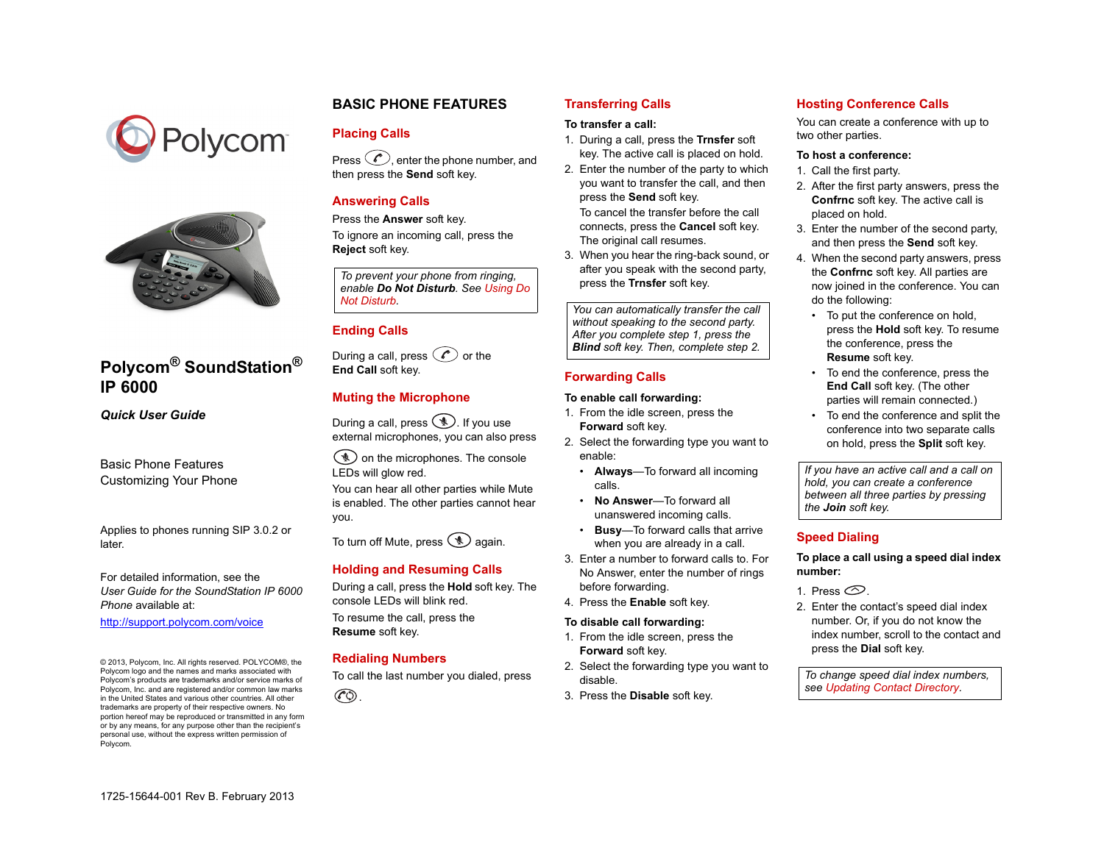



# **Polycom® SoundStation® IP 6000**

*Quick User Guide*

Basic Phone Features Customizing Your Phone

Applies to phones running SIP 3.0.2 or later.

For detailed information, see the *User Guide for the SoundStation IP 6000 Phone* available at:

<http://support.polycom.com/voice>

© 2013, Polycom, Inc. All rights reserved. POLYCOM®, the Polycom logo and the names and marks associated with Polycom's products are trademarks and/or service marks of Polycom, Inc. and are registered and/or common law marks in the United States and various other countries. All other trademarks are property of their respective owners. No portion hereof may be reproduced or transmitted in any form or by any means, for any purpose other than the recipient's personal use, without the express written permission of Polycom.

### **BASIC PHONE FEATURES**

### **Placing Calls**

Press  $\circled{e}$ , enter the phone number, and then press the **Send** soft key.

### **Answering Calls**

Press the **Answer** soft key.

To ignore an incoming call, press the **Reject** soft key.

*To prevent your phone from ringing, enable Do Not Disturb. See [Using Do](#page-1-1)* 

## **Ending Calls**

During a call, press  $\oslash$  or the **End Call** soft key.

### **Muting the Microphone**

During a call, press  $\circledast$ . If you use external microphones, you can also press

 $\mathcal{L}$  on the microphones. The console LEDs will glow red.

You can hear all other parties while Mute is enabled. The other parties cannot hear you.

To turn off Mute, press  $\circledast$  again.

### **Holding and Resuming Calls**

During a call, press the **Hold** soft key. The console LEDs will blink red. To resume the call, press the **Resume** soft key.

### **Redialing Numbers**

To call the last number you dialed, press



### **Transferring Calls**

#### **To transfer a call:**

- 1. During a call, press the **Trnsfer** soft key. The active call is placed on hold.
- 2. Enter the number of the party to which you want to transfer the call, and then press the **Send** soft key*.* To cancel the transfer before the call connects, press the **Cancel** soft key. The original call resumes.
- 3. When you hear the ring-back sound, or after you speak with the second party, press the **Trnsfer** soft key.

*[Not Disturb](#page-1-1). You can automatically transfer the call without speaking to the second party. After you complete step 1, press the Blind soft key. Then, complete step 2.*

### **Forwarding Calls**

#### **To enable call forwarding:**

- 1. From the idle screen, press the **Forward** soft key.
- 2. Select the forwarding type you want to enable:
	- **Always**—To forward all incoming calls.
	- **No Answer**—To forward all unanswered incoming calls.
	- **Busy**—To forward calls that arrive when you are already in a call.
- 3. Enter a number to forward calls to. For No Answer, enter the number of rings before forwarding.
- 4. Press the **Enable** soft key.

#### **To disable call forwarding:**

- 1. From the idle screen, press the **Forward** soft key.
- 2. Select the forwarding type you want to disable.
- 3. Press the **Disable** soft key.

### **Hosting Conference Calls**

You can create a conference with up to two other parties.

#### **To host a conference:**

- 1. Call the first party.
- 2. After the first party answers, press the **Confrnc** soft key. The active call is placed on hold.
- 3. Enter the number of the second party, and then press the **Send** soft key.
- 4. When the second party answers, press the **Confrnc** soft key. All parties are now joined in the conference. You can do the following:
	- To put the conference on hold, press the **Hold** soft key. To resume the conference, press the **Resume** soft key.
	- To end the conference, press the **End Call** soft key. (The other parties will remain connected.)
	- To end the conference and split the conference into two separate calls on hold, press the **Split** soft key.

*If you have an active call and a call on hold, you can create a conference between all three parties by pressing the Join soft key.*

### **Speed Dialing**

#### **To place a call using a speed dial index number:**

- 1. Press  $\circledcirc$
- 2. Enter the contact's speed dial index number. Or, if you do not know the index number, scroll to the contact and press the **Dial** soft key.

*To change speed dial index numbers, see [Updating Contact Directory](#page-1-0).*